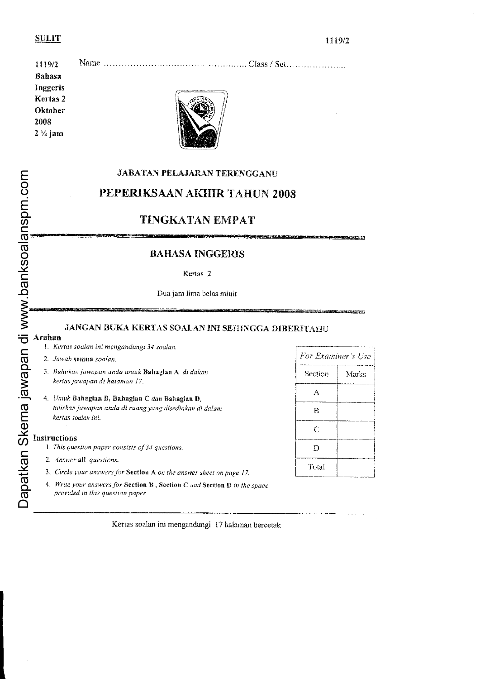# **SULIT**

| 1119/2              |  |
|---------------------|--|
| Bahasa              |  |
| Inggeris            |  |
| Kertas 2            |  |
| Oktober             |  |
| 2008                |  |
| $2 \frac{1}{4}$ jam |  |

# JABATAN PELAJARAN TERENGGANU PEPERIKSAAN AKHIR TAHUN 2008

# TINGKATAN EMPAT

# **BAHASA INGGERIS**

# Kertas 2

Dua jam lima belas minit

# JANGAN BUKA KERTAS SOALAN INI SEHINGGA DIBERITAHU

Arahan 1. Kertas soulan ini mengandungi 34 soalan.

- 2. Jawab semua soalan.
- 3. Bulatkan jawapan anda untuk Bahagian A di dalam kertas jawapan di halaman 17.
- 4. Untuk Bahagian B, Bahagian C dan Bahagian D, tuliskan jawapan anda di ruang yang disediakan di dalam kertas soalan ini.

# Insiructions

1. This question paper consists of 34 questions.

- 2. Answer all questions.
- 3. Circle your answers for Section A on the answer sheet on page 17.
- 4. Write your answers for Section B, Section C and Section D in the space provided in this question paper.

| For Examiner's Use |       |  |
|--------------------|-------|--|
| Section            | Marks |  |
| А                  |       |  |
| в                  |       |  |
| C                  |       |  |
| D                  |       |  |
| Total              |       |  |

Kertas soalan ini mengandungi 17 halaman bercetak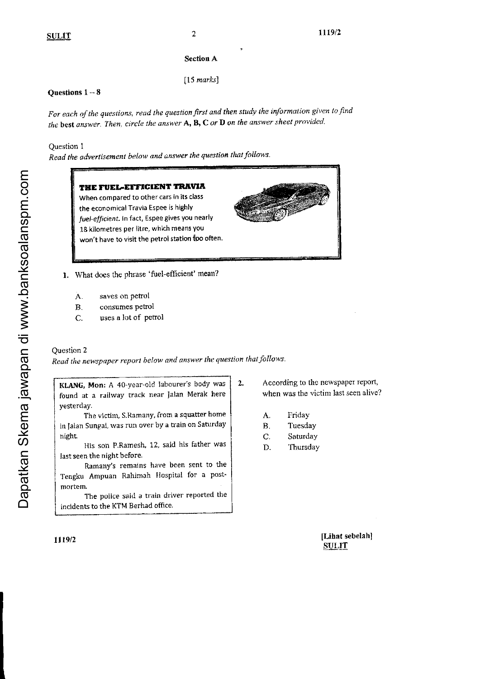# Section A

 $[15$  marks]

# Questions  $1 - 8$

For each of the questions, read the question first and then study the information given to find the best answer. Then, circle the answer  $A$ ,  $B$ ,  $C$  or  $D$  on the answer sheet provided.

Question I

Read the advertisement below and answer the question that follows.

# THE FUEL-EFFICIENT TRAVIA When compared to other cars in its class the economical Travia Espee is highly fuel-efficient. In fact, Espee gives you nearly 18 kilometres per litre, which means you won't have to visit the petrol station too often. What does the phrase 'fuel-efflcient' mean?

- A. saves on petrol
- B. consumes petrol
- C. uses a lot of petrol

# Question 2

Read the newspaper report below and answer the question that follows.

KLANG, Mon: A 4o-year-old labourer's body was found at a railway track near Jatan Merak here yesterdaY.

The victim, S.Ramany, from a squatter home in lalan Sungai, was run over by a train on Saturday night

llis son P,Ramesh, 12, said his father was last seen the night before.

Ramany's remains have been sent to the Tengku Ampuan Rahimah llospital for a postmortem.

The police said a train driver reported the incident5 to the KTM Berhad office.

2. According to the newspaper report, when was the victim last seen alive?

- A. Friday
- B. Tuesday
- C' SaturdaY
- D. ThursdaY

[Lihat sebelah] **SULIT** 

Dapatkan Skema jawapan di www.banksoalanspm.com Dapatkan Skema jawapan di www.banksoalanspm.com

t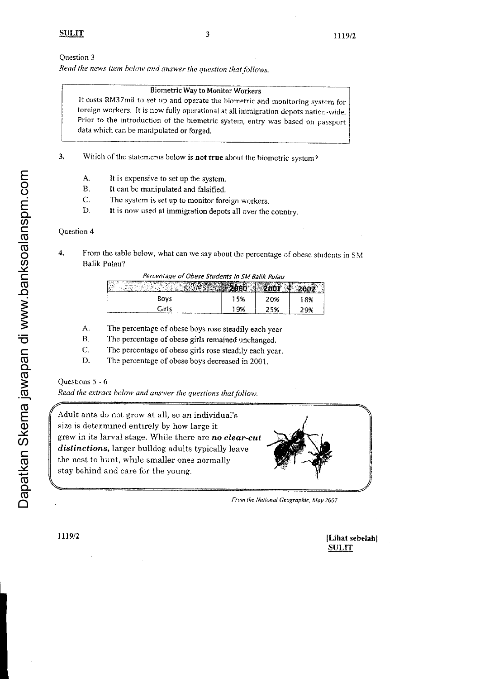Read the news item below and answer the question that follows.

# **Biometric Way to Monitor Workers**

It costs RM37mil to set up and operate the biometric and monitoring system for foreign workers. It is now fully operational at all immigration depots nation-wide. Prior to the introduction of the biometric system, entry was based on passport data which can be manipulated or forged.

Which of the statements below is not true about the biometric system?  $\overline{3}$ .

- Α. It is expensive to set up the system.
- $\mathbf{B}$ . It can be manipulated and falsified.
- $\mathcal{C}$ . The system is set up to monitor foreign workers.
- D. It is now used at immigration depots all over the country.

# Question 4

 $\boldsymbol{4}$ From the table below, what can we say about the percentage of obese students in SM **Balik Pulau?** 

| гелениаус от Орезе зиниется т эт ватк титаи |     |     |     |  |  |
|---------------------------------------------|-----|-----|-----|--|--|
|                                             |     |     |     |  |  |
| Bovs                                        | 15% | 20% | 13% |  |  |
| Ciris                                       | 19% | 25% | 29% |  |  |

- The percentage of obese boys rose steadily each year. A.
- $B.$ The percentage of obese girls remained unchanged.
- C. The percentage of obese girls rose steadily each year.
- D. The percentage of obese boys decreased in 2001.

# Questions 5 - 6

Read the extract below and answer the questions that follow.

Adult ants do not grow at all, so an individual's size is determined entirely by how large it grew in its larval stage. While there are no clear-cut *distinctions*, larger bulldog adults typically leave the nest to hunt, while smaller ones normally stay behind and care for the young.



From the National Geographic, May 2007

[Lihat sebelah] **SULIT** 

# Dapatkan Skema jawapan di www.banksoalanspm.com

1119/2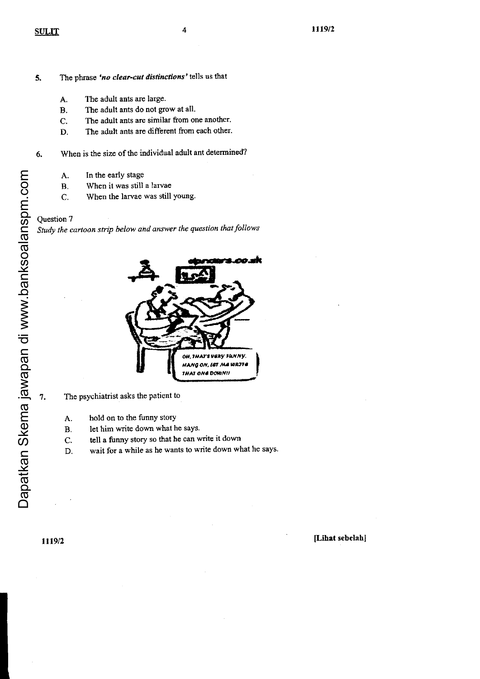- The phrase 'no clear-cut distinctions' tells us that 5.
	- A. The adult ants are large.
	- B, The adult ants do not grow at all.
	- The adult ants are similar from one another.  $\mathbf{C}$ .
	- D. The adult ants are different from each other.
- When is the size of the individual adult ant determined?  $6.$ 
	- A. In the early stage
	- $\mathbf{B}$ . When it was still a larvae
	- When the larvae was still young. C.

Study the cartoon strip below and answer the question that follows



The psychiatrist asks the patient to

- hold on to the funny story A.
- $\mathbf{B}$ . let him write down what he says.
- (-. tell a funny story so that he can write it down
- D. wait for a while as he wants to write down what he says.

7.

1119/2

# [Lihat sebelahl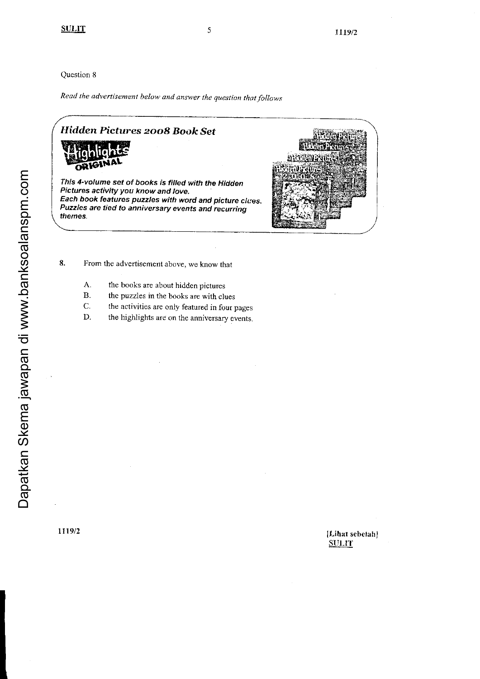Read the advertisement below and answer the question that follows

# Hidden Pictures 2008 Book Set



This 4-volume set of books is filled with the Hidden Pictures activity you know and love. Each book features puzzles with word and picture clues. Puzzles are tied to anniversary events and recurring themes.



- 8. From the advertisement above, we know that
	- A. the books are about hidden pictures
	- $B.$ the puzzles in the books are with clues
	- C. the activities are only featured in four pages
	- D. the highlights are on the anniversary events.

# [Lihat sebetah] **SULIT**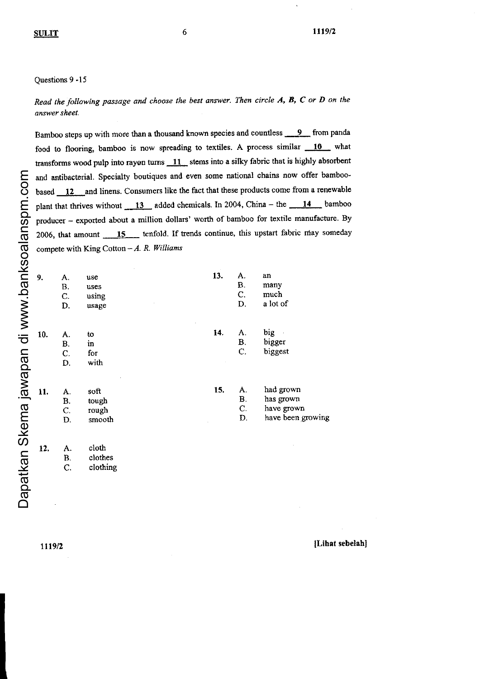6

### Ouestions 9 -15

Read the following passage and choose the best answer. Then circle  $A$ ,  $B$ ,  $C$  or  $D$  on the answer sheet.

Bamboo steps up with more than a thousand known species and countless 9 from panda food to flooring, bamboo is now spreading to textiles. A process similar 10 what transforms wood pulp into rayon turns  $11$  stems into a silky fabric that is highly absorbent and antibacterial. Specialty boutiques and even some national chains now offer bamboobased 12 and linens. Consumers like the fact that these products come from a renewable plant that thrives without  $13$  added chemicals. In 2004, China – the  $14$  bamboo producer - exported about a million dollars' worth of bamboo for textile manufacture. By 2006, that amount 15 tenfold. If trends continue, this upstart fabric may someday compete with King Cotton  $-A$ . R. Williams

| 9.  | Α.<br><b>B.</b><br>C.<br>D. | use<br>uses<br>using<br>usage    | 13. | A.<br>B.<br>C.<br>D.       | an<br>many<br>much<br>a lot of                            |
|-----|-----------------------------|----------------------------------|-----|----------------------------|-----------------------------------------------------------|
| 10. | A.<br><b>B.</b><br>C.<br>D. | to<br>in<br>for<br>with          | 14. | A.<br>$\mathbf{B}$ .<br>C. | big<br>bigger<br>biggest                                  |
| 11. | A.<br><b>B.</b><br>C.<br>D. | soft<br>tough<br>rough<br>smooth | 15. | А.<br>В.<br>C.<br>D.       | had grown<br>has grown<br>have grown<br>have been growing |
| 12. | A.<br><b>B.</b><br>C.       | cloth<br>clothes<br>clothing     |     |                            |                                                           |

1119/2

[Lihat sebelah]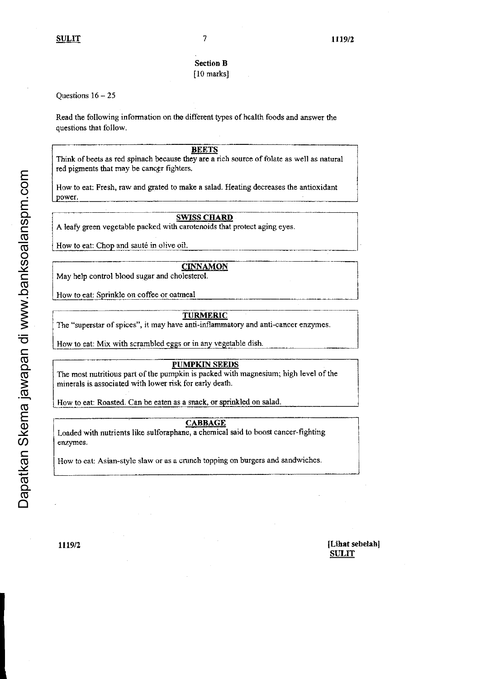# Section B

# [10 marks]

# Ouestions  $16 - 25$

Read the following information on the different types of health foods and answer the quesfions that follow.

## **BEETS**

Think of beets as red spinach because they are a rich source of folate as well as natural red pigments that may be cancer fighters.

How to eat: Fresh, raw and gated to maks a salad- Heating decreases the antioxidant power.

# **SWISS CHARD**

A leafy green vegetable packed with carotenoids that protect aging eyes.

How to eat: Chop and sauté in olive oil.

# **CINNAMON**

May help control blood sugar and cholesterol.

How to eat: Sprinkle on coffee or oatmeal

# TURMERIC

The "superstar of spices", it may have anti-inflammatory and anti-cancer enzymes.

How to eat: Mix with scrambled eggs or in any vegetable dish.

# **PUMPKIN SEEDS**

The most nutritious part of the pumpkin is packed with magnesium; high level of the minerals is associated with lower risk for early death.

How to eat: Roasted, Can be eaten as a snack, or sprinkled on salad.

# CABBAGE

Loaded with nutrients like sulforaphane, a chemical said to boost cancer-fighting enzymes.

How to eat; Asian-style slaw or as a crunch topping on burgers and sandwiches.

# ttlexten light sebelahl and the light sebelahl sebelahl sebelahl sebelahl sebelahl sebelah sebelah sebelah sebelah sebelah sebelah sebelah sebelah sebelah sebelah sebelah sebelah sebelah sebelah sebelah sebelah sebelah seb **SULIT**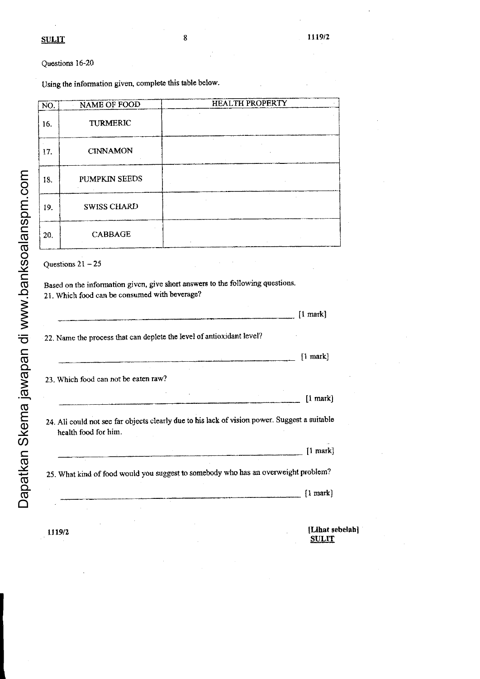# Questions 16-20

Using the information given, complete this table below.

| NO.                                                                                                                                                    | NAME OF FOOD                                                          | <b>HEALTH PROPERTY</b> |  |  |  |
|--------------------------------------------------------------------------------------------------------------------------------------------------------|-----------------------------------------------------------------------|------------------------|--|--|--|
| 16.                                                                                                                                                    | TURMERIC                                                              |                        |  |  |  |
| 17.                                                                                                                                                    | <b>CINNAMON</b>                                                       |                        |  |  |  |
| 18.                                                                                                                                                    | PUMPKIN SEEDS                                                         |                        |  |  |  |
| 19.                                                                                                                                                    | <b>SWISS CHARD</b>                                                    |                        |  |  |  |
| 20.                                                                                                                                                    | <b>CABBAGE</b>                                                        |                        |  |  |  |
| Questions $21 - 25$<br>Based on the information given, give short answers to the following questions.<br>21. Which food can be consumed with beverage? |                                                                       |                        |  |  |  |
|                                                                                                                                                        |                                                                       | $[1$ mark $]$          |  |  |  |
|                                                                                                                                                        | 22. Name the process that can deplete the level of antioxidant level? |                        |  |  |  |
|                                                                                                                                                        |                                                                       | $[1$ mark $]$          |  |  |  |

8

23. Which food can not be eaten raw? [1 mark] 24. Ali could not see far objects clearly due to his lack of vision power. Suggest a suitable health food for him.  $[1$  mark] 25. What kind of food would you suggest to somebody who has an overweight problem?  $[1$  mark $]$ 

> [Lihat sebelah] **SULIT**

1119/2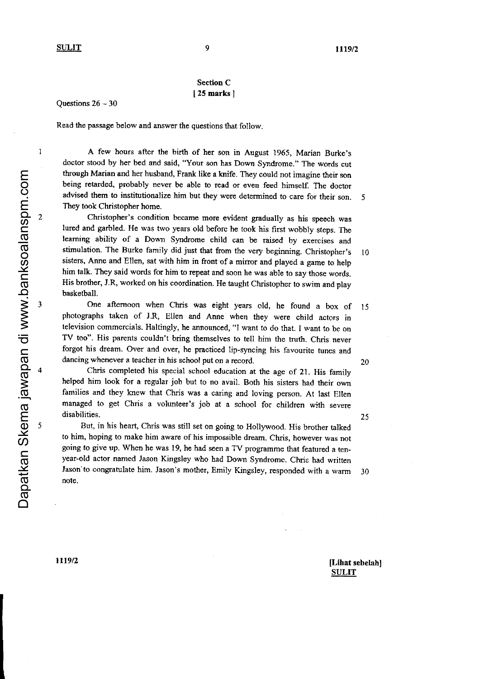$\mathbf{1}$ 

 $\overline{c}$ 

 $\mathfrak{z}$ 

# Section C [ 25 marks I

Questions  $26 - 30$ 

Read the passage below and answer the questions that follow.

A few hours after the birth of her son in August 1965, Marian Burke's doctor stood by her bed and said, "Your son has Down Syndrome." The words cut tbrough Marian and her husband, Frank like a knife. They could not imagine their son being retarded, probably never be able to read or even feed himself. The doctor advised them to institutionalize him but they were determined to care for their son. Tbey took Christopher home.

Christopher's condition becarne more evident gradually as his speech was lured and garbled. He was two years old before he took his first wobbly steps. The learning ability of a Down Syndrome child can be raised by exercises and stimulation. The Burke family did just that from the very beginning. Christopher's sisters, Anne and Ellen, sat with him in front of a mirror and played a game to help him talk. They said words for him to repeat and soon he was able to say those words. His brother, J.R, worked on his coordination. He taught Christopher to swim and play basketball. l 0

One aftemoon when Chris was eight years old, he found a box of 15 photographs taken of J.R, Ellen and Anne when they were child actors in television commercials. Haltingly, he announced, "I want to do that. I want to be on TV too". His parents couldn't bring themselves to tell him the truth. Chris never forgot his dream. Over and over, he practiced lip-syncing his favourite tunes and dancing whenever a teacher in his school put on a record. 20

Chris completed his special school education at the age of 21. His family helped him look for a rcgular job but to no avail. Both his sisters had their own families and they knew that Chris was a caring and loving person. At last Ellen managed to get Chris a volunteer's job at a school for children with severe disabilities.

But, in his heart, Chris was still set on going to Hollywood. His brother talked to him, hoping to make him awate of his impossible dream- Chris, however was not going to give up. When he was 19, he had seen a TV programme that featured a tenyear-old actor named Jason Kingsley who had Down Syndrome. Chris had written Jason to congratulate him. Jason's mother, Emily Kingsley, responded with a warm 30 note.

5

25

1119/2

Dapatkan Skema jawapan di www.banksoalanspm.com

Dapatkan Skema jawapan di www.banksoalanspm.com

t

[Lihat sebelahl **SULIT**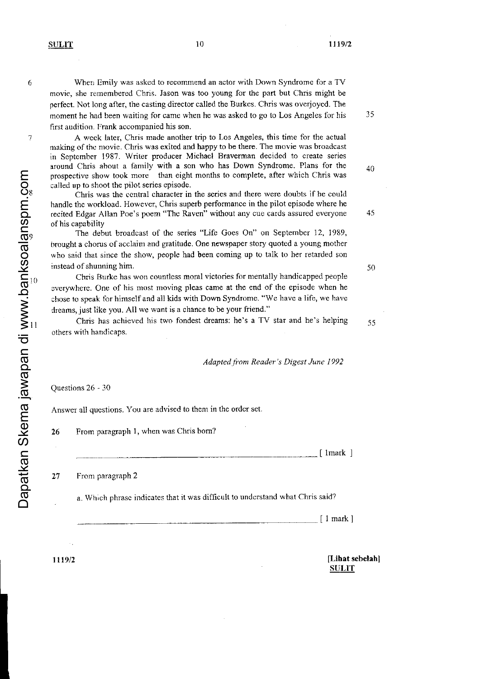6

 $\overline{7}$ 

l 0

When Emily was asked to recommend an actor with Down Syndrome for a TV movie, she remembered Chris. Jason was too young for thc part but Chris might be perfect. Not long after, the casting director called the Burkes. Chris was overjoyed. The moment he had been waiting for came when he was asked to go to Los Angeles for his first audition. Frank accompanied his son.

A wcck later, Chris made another trip to Los Angeles, this tinre for the actual making of the novie. Chris was exited and happy to be there. The movie was broadcast in September 1987. Writer producer Michael Braverman decided to create series around Chris about a family with a son who has Down Syndrome. Plans for the prospective show took more than eight months to complete, after which Chris was called up to shoot the pilot series episode.

Chris was the central character in the series and there were doubts if he could handle thc workload. However, Chris superb performance in the pilot episode where he recited Edgar Allan Poe's pocm "The Raven" without any cue cards assured everyone of his capability

The debut broadcast of the series "Life Goes On" on September 12, 1989, brought a chorus of acclaim and gratitude. One newspaper story quoted a young mother who said that since the show, people had been coming up to talk to her retarded son instead of shunning him.

Chris Burke has won countless motal victories for mentally handicapped people everywhere. One of his most moving pleas came at the end of the episode when he chose to speak for himself and a1l kids with Down Syrdrome. "We have a life, we have dreams, just like you. All we want is a chance to be your friend."

Chris has achieved his two fondest dreams: he's a TV star and he's helping others with handicaps.

Adapted from Reader's Digest June 1992

Questions 26 - 30

 $10<sub>1</sub>$ 

l l

Dapatkan Skema jawapan di www.banksoalanspm.com

Answer all questions. You are advised to them in the order set.

26 From paragraph 1, when was Chris bom?

 $\lceil$  1 mark  $\rceil$ 

From paragraph 2  $27$ 

a. Which phrase indicates that it was difficult to understand what Chris said?

Il mark]

1119/2

[Lihat sebelah] **SULIT** 

50

35

40

45

55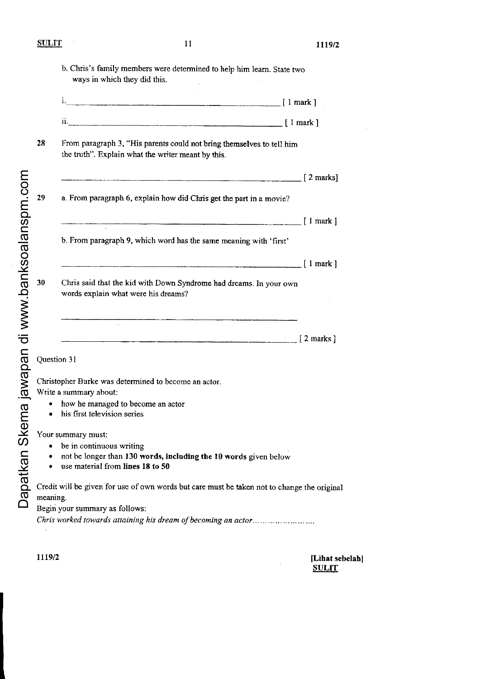b. Chris's family members were detemined to help him leam\_ State two ways in which they did this.

| . .<br><b>The Real Property and Constitution Constitution</b><br>---<br> | mark |
|--------------------------------------------------------------------------|------|
|                                                                          |      |

| 11. |                                               |  | mark |  |
|-----|-----------------------------------------------|--|------|--|
|     | --------------<br><b><i>COMMUNICATION</i></b> |  |      |  |

28 From paragraph 3, "His parents could not bring themselves to tell him the truth". Explain what the writer meant by this.

|                                                                                                           | $\lceil 2 \text{ marks} \rceil$  |
|-----------------------------------------------------------------------------------------------------------|----------------------------------|
| a. From paragraph 6, explain how did Chris get the part in a movie?                                       |                                  |
|                                                                                                           | $\lceil 1$ mark $\rceil$         |
| b. From paragraph 9, which word has the same meaning with 'first'                                         |                                  |
|                                                                                                           | $\lceil$ 1 mark $\rceil$         |
| Chris said that the kid with Down Syndrome had dreams. In your own<br>words explain what were his dreams? |                                  |
|                                                                                                           |                                  |
|                                                                                                           | $\lceil 2 \text{ marks } \rceil$ |

Question 3 I

Dapatkan Skema jawapan di www.banksoalanspm.com Dapatkan Skema jawapan di www.banksoalanspm.com

Christopher Burke was determined to become an actor. Write a summary about:

- how he managed to become an actor
- his first television series

Your summary must:

- $\bullet$  be in continuous writing
- . nol be longer than 130 words, including tbe l0 words given below
- . use material from lines 18 to 50

Credit will be given for use of own words but care must be taken not to change the original meaning.

Begin your summary as follows:

Chris worked towards attaining his dream of becoming an actor..........................

1119/2

 $\mathbf{I}$ 

[Lihat sebelah] **SULIT**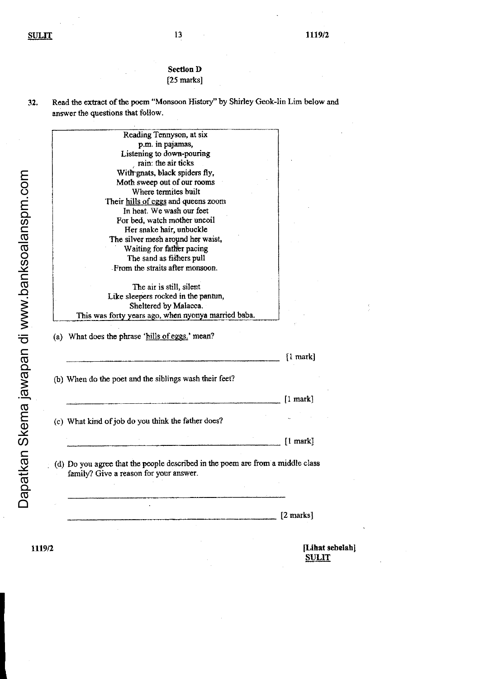# Section D  $[25 \text{ marks}]$

| 32. | Read the extract of the poem "Monsoon History" by Shirley Geok-lin Lim below and |
|-----|----------------------------------------------------------------------------------|
|     | answer the questions that follow.                                                |

| Reading Tennyson, at six                                                                                                                                                                       |                      |
|------------------------------------------------------------------------------------------------------------------------------------------------------------------------------------------------|----------------------|
| p.m. in pajamas,                                                                                                                                                                               |                      |
| Listening to down-pouring                                                                                                                                                                      |                      |
| rain: the air ticks                                                                                                                                                                            |                      |
| With gnats, black spiders fly,                                                                                                                                                                 |                      |
| Moth sweep out of our rooms                                                                                                                                                                    |                      |
| Where termites built                                                                                                                                                                           |                      |
| Their hills of eggs and queens zoom                                                                                                                                                            |                      |
| In heat. We wash our feet                                                                                                                                                                      |                      |
| For bed, watch mother uncoil                                                                                                                                                                   |                      |
| Her snake hair, unbuckle                                                                                                                                                                       |                      |
| The silver mesh around her waist,                                                                                                                                                              |                      |
| Waiting for father pacing                                                                                                                                                                      |                      |
| The sand as fishers pull                                                                                                                                                                       |                      |
| From the straits after monsoon.                                                                                                                                                                |                      |
|                                                                                                                                                                                                |                      |
| The air is still, silent                                                                                                                                                                       |                      |
| Like sleepers rocked in the pantun,                                                                                                                                                            |                      |
| Sheltered by Malacca.                                                                                                                                                                          |                      |
| This was forty years ago, when nyonya married baba.                                                                                                                                            |                      |
| (a) What does the phrase 'hills of eggs.' mean?                                                                                                                                                |                      |
|                                                                                                                                                                                                | $\{1 \text{ mark}\}$ |
|                                                                                                                                                                                                |                      |
|                                                                                                                                                                                                |                      |
|                                                                                                                                                                                                | $[1$ mark $]$        |
|                                                                                                                                                                                                |                      |
|                                                                                                                                                                                                |                      |
|                                                                                                                                                                                                | $[1$ mark $]$        |
|                                                                                                                                                                                                |                      |
|                                                                                                                                                                                                |                      |
| family? Give a reason for your answer.                                                                                                                                                         |                      |
| (b) When do the poet and the siblings wash their feet?<br>(c) What kind of job do you think the father does?<br>(d) Do you agree that the people described in the poem are from a middle class |                      |
|                                                                                                                                                                                                | [2 marks]            |

1119/2

Dapatkan Skema jawapan di www.banksoalanspm.com

[Lihat sebelah]<br>SULIT

 $\frac{3}{2}$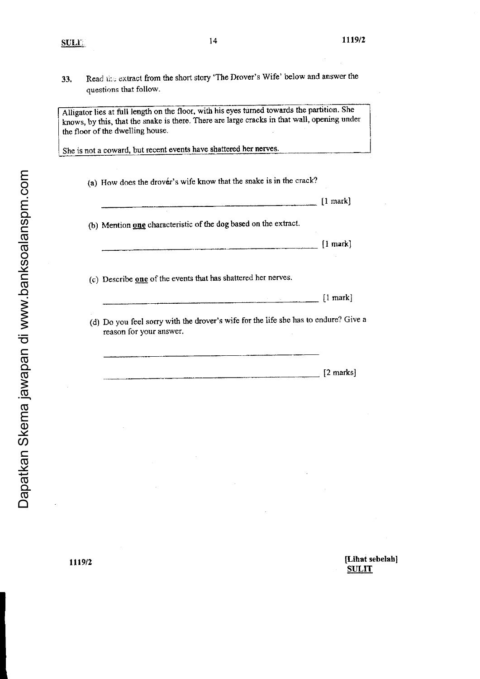Read the extract from the short story 'The Drover's Wife' below and answer the 33. questions that follow.

Alligator lies at full length on the floor, with his eyes turned towards the partition. She knows, by this, that the snake is there. There are large cracks in that wall, opening under the floor of the dwelling house.

She is not a coward, but recent events have shattered her nerves.

| (a) How does the drover's wife know that the snake is in the crack?                                            |                             |
|----------------------------------------------------------------------------------------------------------------|-----------------------------|
|                                                                                                                | $[1$ mark]                  |
| (b) Mention one characteristic of the dog based on the extract.                                                |                             |
|                                                                                                                | $\lfloor \ln \arck \rfloor$ |
|                                                                                                                |                             |
| (c) Describe one of the events that has shattered her nerves.                                                  | $[1$ mark]                  |
| (d) Do you feel sorry with the drover's wife for the life she has to endure? Give a<br>reason for your answer. |                             |

[Lihat sebelah] **SULIT**